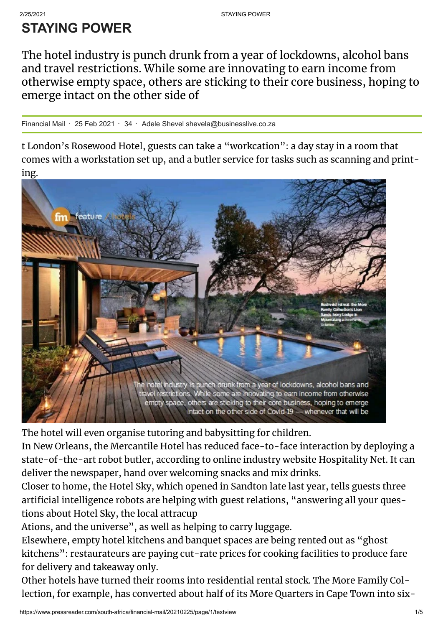## 2/25/2021 STAY ING POWER

## **STAYING POWER**

The hotel industry is punch drunk from a year of lockdowns, alcohol bans and travel restrictions. While some are innovating to earn income from otherwise empty space, others are sticking to their core business, hoping to emerge intact on the other side of

Financial Mail  $\cdot$  25 Feb 2021  $\cdot$  34  $\cdot$  Adele Shevel shevela@businesslive.co.za

t London's Rosewood Hotel, guests can take a "workcation": a day stay in a room that comes with a workstation set up, and a butler service for tasks such as scanning and printing.



The hotel will even organise tutoring and babysitting for children.

In New Orleans, the Mercantile Hotel has reduced face-to-face interaction by deploying a state-of-the-art robot butler, according to online industry website Hospitality Net. It can deliver the newspaper, hand over welcoming snacks and mix drinks.

Closer to home, the Hotel Sky, which opened in Sandton late last year, tells guests three articial intelligence robots are helping with guest relations, "answering all your questions about Hotel Sky, the local attracup

Ations, and the universe" , as well as helping to carry luggage.

Elsewhere, empty hotel kitchens and banquet spaces are being rented out as "ghost kitchens": restaurateurs are paying cut-rate prices for cooking facilities to produce fare for delivery and takeaway only.

Other hotels have turned their rooms into residential rental stock. The More Family Collection, for example, has converted about half of its More Quarters in Cape Town into six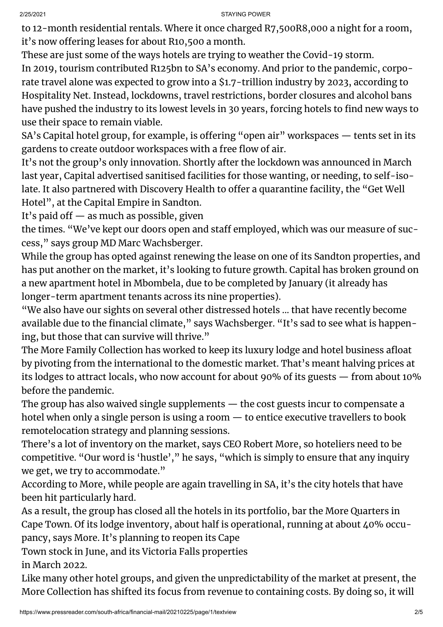2/25/2021 STAY ING POWER

to 12-month residential rentals. Where it once charged R7,500R8,000 a night for a room, it's now offering leases for about R10,500 a month.

These are just some of the ways hotels are trying to weather the Covid-19 storm.

In 2019, tourism contributed R125bn to SA's economy. And prior to the pandemic, corporate travel alone was expected to grow into a \$1.7-trillion industry by 2023, according to Hospitality Net. Instead, lockdowns, travel restrictions, border closures and alcohol bans have pushed the industry to its lowest levels in 30 years, forcing hotels to find new ways to use their space to remain viable.

SA's Capital hotel group, for example, is offering "open air" workspaces — tents set in its gardens to create outdoor workspaces with a free flow of air.

It's not the group's only innovation. Shortly after the lockdown was announced in March last year, Capital advertised sanitised facilities for those wanting, or needing, to self-isolate. It also partnered with Discovery Health to offer a quarantine facility, the "Get Well Hotel" , at the Capital Empire in Sandton.

It's paid of  $-$  as much as possible, given

the times. "We've kept our doors open and staff employed, which was our measure of success, " says group MD Marc Wachsberger.

While the group has opted against renewing the lease on one of its Sandton properties, and has put another on the market, it's looking to future growth. Capital has broken ground on a new apartment hotel in Mbombela, due to be completed by January (it already has longer-term apartment tenants across its nine properties).

"We also have our sights on several other distressed hotels ... that have recently become available due to the financial climate," says Wachsberger. "It's sad to see what is happening, but those that can survive will thrive."

The More Family Collection has worked to keep its luxury lodge and hotel business afloat by pivoting from the international to the domestic market. That's meant halving prices at its lodges to attract locals, who now account for about 90% of its guests — from about 10% before the pandemic.

The group has also waived single supplements — the cost guests incur to compensate a hotel when only a single person is using a room — to entice executive travellers to book remotelocation strategy and planning sessions.

There's a lot of inventory on the market, says CEO Robert More, so hoteliers need to be competitive. "Our word is 'hustle' , " he says, "which is simply to ensure that any inquiry we get, we try to accommodate."

According to More, while people are again travelling in SA, it's the city hotels that have been hit particularly hard.

As a result, the group has closed all the hotels in its portfolio, bar the More Quarters in Cape Town. Of its lodge inventory, about half is operational, running at about 40% occupancy, says More. It's planning to reopen its Cape

Town stock in June, and its Victoria Falls properties in March 2022.

Like many other hotel groups, and given the unpredictability of the market at present, the More Collection has shifted its focus from revenue to containing costs. By doing so, it will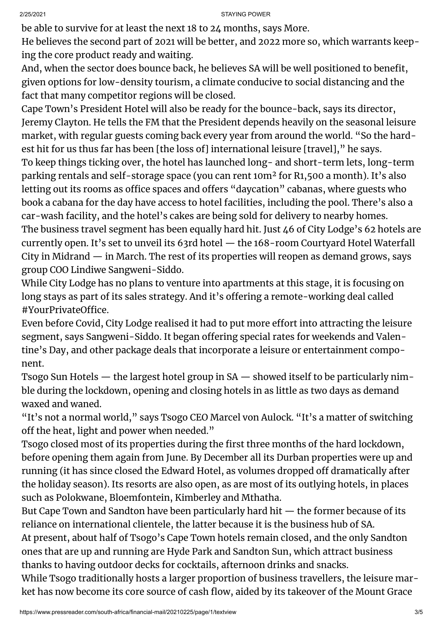be able to survive for at least the next 18 to 24 months, says More.

He believes the second part of 2021 will be better, and 2022 more so, which warrants keeping the core product ready and waiting.

And, when the sector does bounce back, he believes SA will be well positioned to benefit, given options for low-density tourism, a climate conducive to social distancing and the fact that many competitor regions will be closed.

Cape Town's President Hotel will also be ready for the bounce-back, says its director, Jeremy Clayton. He tells the FM that the President depends heavily on the seasonal leisure market, with regular guests coming back every year from around the world. "So the hardest hit for us thus far has been [the loss of] international leisure [travel], " he says. To keep things ticking over, the hotel has launched long- and short-term lets, long-term parking rentals and self-storage space (you can rent 10m² for R1,500 a month). It's also letting out its rooms as office spaces and offers "daycation" cabanas, where guests who book a cabana for the day have access to hotel facilities, including the pool. There's also a car-wash facility, and the hotel's cakes are being sold for delivery to nearby homes. The business travel segment has been equally hard hit. Just 46 of City Lodge's 62 hotels are currently open. It's set to unveil its 63rd hotel — the 168-room Courtyard Hotel Waterfall City in Midrand — in March. The rest of its properties will reopen as demand grows, says group COO Lindiwe Sangweni-Siddo.

While City Lodge has no plans to venture into apartments at this stage, it is focusing on long stays as part of its sales strategy. And it's offering a remote-working deal called #YourPrivateOffice.

Even before Covid, City Lodge realised it had to put more effort into attracting the leisure segment, says Sangweni-Siddo. It began offering special rates for weekends and Valentine's Day, and other package deals that incorporate a leisure or entertainment component.

Tsogo Sun Hotels — the largest hotel group in SA — showed itself to be particularly nimble during the lockdown, opening and closing hotels in as little as two days as demand waxed and waned.

"It's not a normal world," says Tsogo CEO Marcel von Aulock. "It's a matter of switching off the heat, light and power when needed."

Tsogo closed most of its properties during the first three months of the hard lockdown, before opening them again from June. By December all its Durban properties were up and running (it has since closed the Edward Hotel, as volumes dropped off dramatically after the holiday season). Its resorts are also open, as are most of its outlying hotels, in places such as Polokwane, Bloemfontein, Kimberley and Mthatha.

But Cape Town and Sandton have been particularly hard hit — the former because of its reliance on international clientele, the latter because it is the business hub of SA.

At present, about half of Tsogo's Cape Town hotels remain closed, and the only Sandton ones that are up and running are Hyde Park and Sandton Sun, which attract business thanks to having outdoor decks for cocktails, afternoon drinks and snacks.

While Tsogo traditionally hosts a larger proportion of business travellers, the leisure market has now become its core source of cash flow, aided by its takeover of the Mount Grace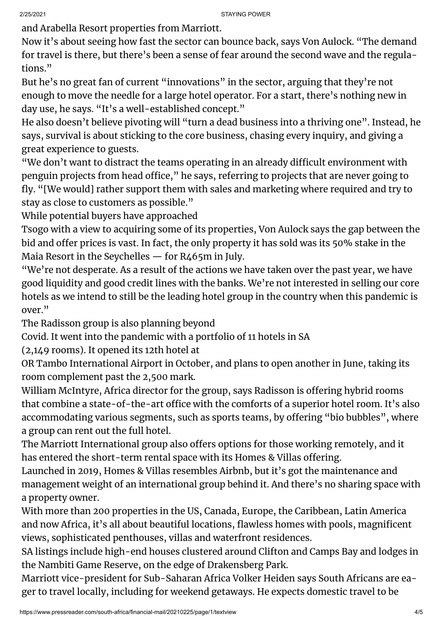and Arabella Resort properties from Marriott.

Now it's about seeing how fast the sector can bounce back, says Von Aulock. "The demand for travel is there, but there's been a sense of fear around the second wave and the regulations."

But he's no great fan of current "innovations" in the sector, arguing that they're not enough to move the needle for a large hotel operator. For a start, there's nothing new in day use, he says. "It's a well-established concept."

He also doesn't believe pivoting will "turn a dead business into a thriving one". Instead, he says, survival is about sticking to the core business, chasing every inquiry, and giving a great experience to guests.

"We don't want to distract the teams operating in an already difficult environment with penguin projects from head office," he says, referring to projects that are never going to fly. "[We would] rather support them with sales and marketing where required and try to stay as close to customers as possible."

While potential buyers have approached

Tsogo with a view to acquiring some of its properties, Von Aulock says the gap between the bid and offer prices is vast. In fact, the only property it has sold was its 50% stake in the Maia Resort in the Seychelles — for R465m in July.

"We're not desperate. As a result of the actions we have taken over the past year, we have good liquidity and good credit lines with the banks. We're not interested in selling our core hotels as we intend to still be the leading hotel group in the country when this pandemic is over."

The Radisson group is also planning beyond

Covid. It went into the pandemic with a portfolio of 11 hotels in SA

(2,149 rooms). It opened its 12th hotel at

OR Tambo International Airport in October, and plans to open another in June, taking its room complement past the 2,500 mark.

William McIntyre, Africa director for the group, says Radisson is offering hybrid rooms that combine a state-of-the-art office with the comforts of a superior hotel room. It's also accommodating various segments, such as sports teams, by offering "bio bubbles", where a group can rent out the full hotel.

The Marriott International group also offers options for those working remotely, and it has entered the short-term rental space with its Homes & Villas offering.

Launched in 2019, Homes & Villas resembles Airbnb, but it's got the maintenance and management weight of an international group behind it. And there's no sharing space with a property owner.

With more than 200 properties in the US, Canada, Europe, the Caribbean, Latin America and now Africa, it's all about beautiful locations, flawless homes with pools, magnificent views, sophisticated penthouses, villas and waterfront residences.

SA listings include high-end houses clustered around Clifton and Camps Bay and lodges in the Nambiti Game Reserve, on the edge of Drakensberg Park.

Marriott vice-president for Sub-Saharan Africa Volker Heiden says South Africans are eager to travel locally, including for weekend getaways. He expects domestic travel to be